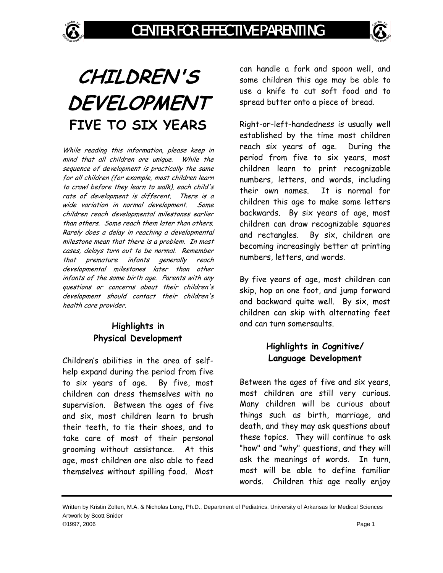

# **CHILDREN'S DEVELOPMENT FIVE TO SIX YEARS**

While reading this information, please keep in mind that all children are unique. While the sequence of development is practically the same for all children (for example, most children learn to crawl before they learn to walk), each child's rate of development is different. There is a wide variation in normal development. Some children reach developmental milestones earlier than others. Some reach them later than others. Rarely does a delay in reaching a developmental milestone mean that there is a problem. In most cases, delays turn out to be normal. Remember that premature infants generally reach developmental milestones later than other infants of the same birth age. Parents with any questions or concerns about their children's development should contact their children's health care provider.

### **Highlights in Physical Development**

Children's abilities in the area of selfhelp expand during the period from five to six years of age. By five, most children can dress themselves with no supervision. Between the ages of five and six, most children learn to brush their teeth, to tie their shoes, and to take care of most of their personal grooming without assistance. At this age, most children are also able to feed themselves without spilling food. Most

can handle a fork and spoon well, and some children this age may be able to use a knife to cut soft food and to spread butter onto a piece of bread.

Right-or-left-handedness is usually well established by the time most children reach six years of age. During the period from five to six years, most children learn to print recognizable numbers, letters, and words, including their own names. It is normal for children this age to make some letters backwards. By six years of age, most children can draw recognizable squares and rectangles. By six, children are becoming increasingly better at printing numbers, letters, and words.

By five years of age, most children can skip, hop on one foot, and jump forward and backward quite well. By six, most children can skip with alternating feet and can turn somersaults.

## **Highlights in Cognitive/ Language Development**

Between the ages of five and six years, most children are still very curious. Many children will be curious about things such as birth, marriage, and death, and they may ask questions about these topics. They will continue to ask "how" and "why" questions, and they will ask the meanings of words. In turn, most will be able to define familiar words. Children this age really enjoy

Written by Kristin Zolten, M.A. & Nicholas Long, Ph.D., Department of Pediatrics, University of Arkansas for Medical Sciences Artwork by Scott Snider ©1997, 2006 Page 1